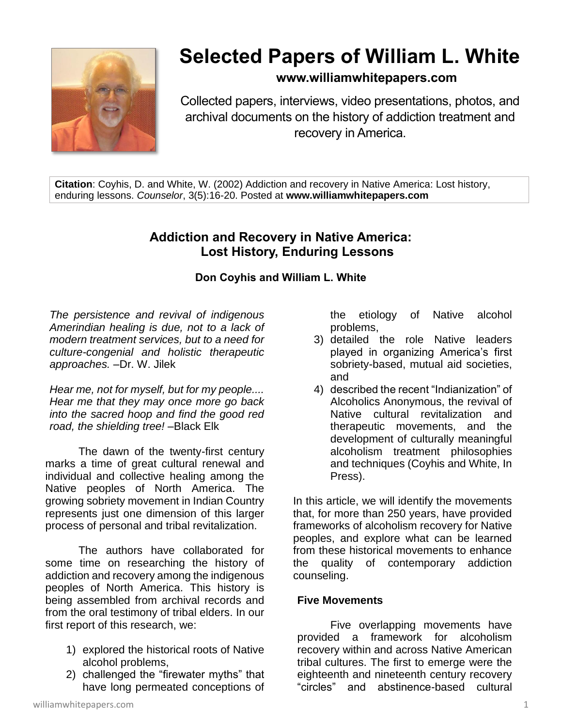

# **Selected Papers of William L. White**

## **www.williamwhitepapers.com**

Collected papers, interviews, video presentations, photos, and archival documents on the history of addiction treatment and recovery in America.

**Citation**: Coyhis, D. and White, W. (2002) Addiction and recovery in Native America: Lost history, enduring lessons. *Counselor*, 3(5):16-20. Posted at **www.williamwhitepapers.com**

# **Addiction and Recovery in Native America: Lost History, Enduring Lessons**

### **Don Coyhis and William L. White**

*The persistence and revival of indigenous Amerindian healing is due, not to a lack of modern treatment services, but to a need for culture-congenial and holistic therapeutic approaches.* –Dr. W. Jilek

*Hear me, not for myself, but for my people.... Hear me that they may once more go back into the sacred hoop and find the good red road, the shielding tree!* –Black Elk

The dawn of the twenty-first century marks a time of great cultural renewal and individual and collective healing among the Native peoples of North America. The growing sobriety movement in Indian Country represents just one dimension of this larger process of personal and tribal revitalization.

The authors have collaborated for some time on researching the history of addiction and recovery among the indigenous peoples of North America. This history is being assembled from archival records and from the oral testimony of tribal elders. In our first report of this research, we:

- 1) explored the historical roots of Native alcohol problems,
- 2) challenged the "firewater myths" that have long permeated conceptions of

the etiology of Native alcohol problems,

- 3) detailed the role Native leaders played in organizing America's first sobriety-based, mutual aid societies, and
- 4) described the recent "Indianization" of Alcoholics Anonymous, the revival of Native cultural revitalization and therapeutic movements, and the development of culturally meaningful alcoholism treatment philosophies and techniques (Coyhis and White, In Press).

In this article, we will identify the movements that, for more than 250 years, have provided frameworks of alcoholism recovery for Native peoples, and explore what can be learned from these historical movements to enhance the quality of contemporary addiction counseling.

### **Five Movements**

Five overlapping movements have provided a framework for alcoholism recovery within and across Native American tribal cultures. The first to emerge were the eighteenth and nineteenth century recovery "circles" and abstinence-based cultural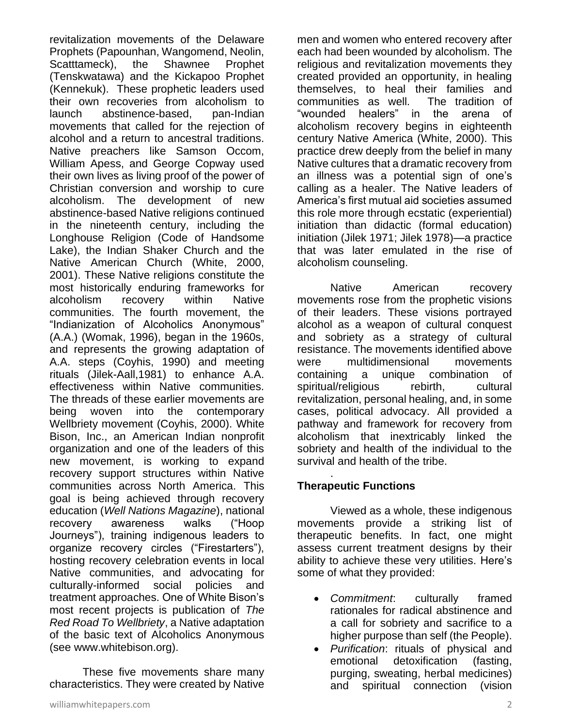revitalization movements of the Delaware Prophets (Papounhan, Wangomend, Neolin, Scatttameck), the Shawnee Prophet (Tenskwatawa) and the Kickapoo Prophet (Kennekuk). These prophetic leaders used their own recoveries from alcoholism to launch abstinence-based, pan-Indian movements that called for the rejection of alcohol and a return to ancestral traditions. Native preachers like Samson Occom, William Apess, and George Copway used their own lives as living proof of the power of Christian conversion and worship to cure alcoholism. The development of new abstinence-based Native religions continued in the nineteenth century, including the Longhouse Religion (Code of Handsome Lake), the Indian Shaker Church and the Native American Church (White, 2000, 2001). These Native religions constitute the most historically enduring frameworks for alcoholism recovery within Native communities. The fourth movement, the "Indianization of Alcoholics Anonymous" (A.A.) (Womak, 1996), began in the 1960s, and represents the growing adaptation of A.A. steps (Coyhis, 1990) and meeting rituals (Jilek-Aall,1981) to enhance A.A. effectiveness within Native communities. The threads of these earlier movements are being woven into the contemporary Wellbriety movement (Coyhis, 2000). White Bison, Inc., an American Indian nonprofit organization and one of the leaders of this new movement, is working to expand recovery support structures within Native communities across North America. This goal is being achieved through recovery education (*Well Nations Magazine*), national recovery awareness walks ("Hoop Journeys"), training indigenous leaders to organize recovery circles ("Firestarters"), hosting recovery celebration events in local Native communities, and advocating for culturally-informed social policies and treatment approaches. One of White Bison's most recent projects is publication of *The Red Road To Wellbriety*, a Native adaptation of the basic text of Alcoholics Anonymous (see www.whitebison.org).

These five movements share many characteristics. They were created by Native men and women who entered recovery after each had been wounded by alcoholism. The religious and revitalization movements they created provided an opportunity, in healing themselves, to heal their families and communities as well. The tradition of "wounded healers" in the arena of alcoholism recovery begins in eighteenth century Native America (White, 2000). This practice drew deeply from the belief in many Native cultures that a dramatic recovery from an illness was a potential sign of one's calling as a healer. The Native leaders of America's first mutual aid societies assumed this role more through ecstatic (experiential) initiation than didactic (formal education) initiation (Jilek 1971; Jilek 1978)—a practice that was later emulated in the rise of alcoholism counseling.

Native American recovery movements rose from the prophetic visions of their leaders. These visions portrayed alcohol as a weapon of cultural conquest and sobriety as a strategy of cultural resistance. The movements identified above were multidimensional movements containing a unique combination of spiritual/religious rebirth, cultural revitalization, personal healing, and, in some cases, political advocacy. All provided a pathway and framework for recovery from alcoholism that inextricably linked the sobriety and health of the individual to the survival and health of the tribe.

#### . **Therapeutic Functions**

Viewed as a whole, these indigenous movements provide a striking list of therapeutic benefits. In fact, one might assess current treatment designs by their ability to achieve these very utilities. Here's some of what they provided:

- *Commitment*: culturally framed rationales for radical abstinence and a call for sobriety and sacrifice to a higher purpose than self (the People).
- *Purification*: rituals of physical and emotional detoxification (fasting, purging, sweating, herbal medicines) and spiritual connection (vision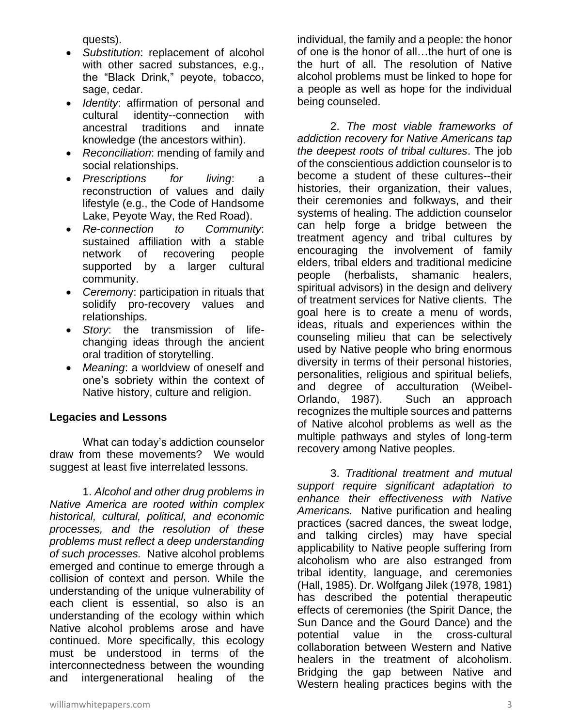quests).

- *Substitution*: replacement of alcohol with other sacred substances, e.g., the "Black Drink," peyote, tobacco, sage, cedar.
- *Identity*: affirmation of personal and cultural identity--connection with ancestral traditions and innate knowledge (the ancestors within).
- *Reconciliation*: mending of family and social relationships.
- *Prescriptions for living*: a reconstruction of values and daily lifestyle (e.g., the Code of Handsome Lake, Peyote Way, the Red Road).
- *Re-connection to Community*: sustained affiliation with a stable network of recovering people supported by a larger cultural community.
- *Ceremon*y: participation in rituals that solidify pro-recovery values and relationships.
- *Story*: the transmission of lifechanging ideas through the ancient oral tradition of storytelling.
- *Meaning*: a worldview of oneself and one's sobriety within the context of Native history, culture and religion.

### **Legacies and Lessons**

What can today's addiction counselor draw from these movements? We would suggest at least five interrelated lessons.

1. *Alcohol and other drug problems in Native America are rooted within complex historical, cultural, political, and economic processes, and the resolution of these problems must reflect a deep understanding of such processes.* Native alcohol problems emerged and continue to emerge through a collision of context and person. While the understanding of the unique vulnerability of each client is essential, so also is an understanding of the ecology within which Native alcohol problems arose and have continued. More specifically, this ecology must be understood in terms of the interconnectedness between the wounding and intergenerational healing of the

individual, the family and a people: the honor of one is the honor of all…the hurt of one is the hurt of all. The resolution of Native alcohol problems must be linked to hope for a people as well as hope for the individual being counseled.

2. *The most viable frameworks of addiction recovery for Native Americans tap the deepest roots of tribal cultures*. The job of the conscientious addiction counselor is to become a student of these cultures--their histories, their organization, their values, their ceremonies and folkways, and their systems of healing. The addiction counselor can help forge a bridge between the treatment agency and tribal cultures by encouraging the involvement of family elders, tribal elders and traditional medicine people (herbalists, shamanic healers, spiritual advisors) in the design and delivery of treatment services for Native clients. The goal here is to create a menu of words, ideas, rituals and experiences within the counseling milieu that can be selectively used by Native people who bring enormous diversity in terms of their personal histories, personalities, religious and spiritual beliefs, and degree of acculturation (Weibel-Orlando, 1987). Such an approach recognizes the multiple sources and patterns of Native alcohol problems as well as the multiple pathways and styles of long-term recovery among Native peoples.

3. *Traditional treatment and mutual support require significant adaptation to enhance their effectiveness with Native Americans.* Native purification and healing practices (sacred dances, the sweat lodge, and talking circles) may have special applicability to Native people suffering from alcoholism who are also estranged from tribal identity, language, and ceremonies (Hall, 1985). Dr. Wolfgang Jilek (1978, 1981) has described the potential therapeutic effects of ceremonies (the Spirit Dance, the Sun Dance and the Gourd Dance) and the potential value in the cross-cultural collaboration between Western and Native healers in the treatment of alcoholism. Bridging the gap between Native and Western healing practices begins with the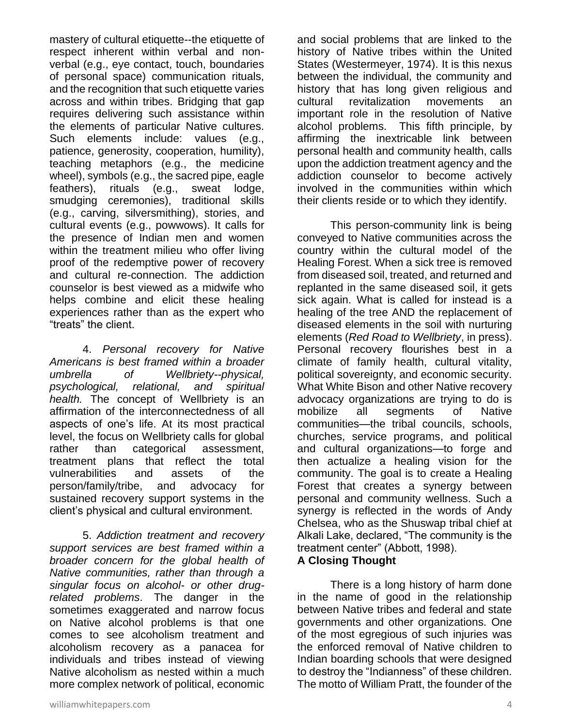mastery of cultural etiquette--the etiquette of respect inherent within verbal and nonverbal (e.g., eye contact, touch, boundaries of personal space) communication rituals, and the recognition that such etiquette varies across and within tribes. Bridging that gap requires delivering such assistance within the elements of particular Native cultures. Such elements include: values (e.g., patience, generosity, cooperation, humility), teaching metaphors (e.g., the medicine wheel), symbols (e.g., the sacred pipe, eagle feathers), rituals (e.g., sweat lodge, smudging ceremonies), traditional skills (e.g., carving, silversmithing), stories, and cultural events (e.g., powwows). It calls for the presence of Indian men and women within the treatment milieu who offer living proof of the redemptive power of recovery and cultural re-connection. The addiction counselor is best viewed as a midwife who helps combine and elicit these healing experiences rather than as the expert who "treats" the client.

4. *Personal recovery for Native Americans is best framed within a broader umbrella of Wellbriety--physical, psychological, relational, and spiritual health.* The concept of Wellbriety is an affirmation of the interconnectedness of all aspects of one's life. At its most practical level, the focus on Wellbriety calls for global rather than categorical assessment, treatment plans that reflect the total vulnerabilities and assets of the person/family/tribe, and advocacy for sustained recovery support systems in the client's physical and cultural environment.

5. *Addiction treatment and recovery support services are best framed within a broader concern for the global health of Native communities, rather than through a singular focus on alcohol- or other drugrelated problems*. The danger in the sometimes exaggerated and narrow focus on Native alcohol problems is that one comes to see alcoholism treatment and alcoholism recovery as a panacea for individuals and tribes instead of viewing Native alcoholism as nested within a much more complex network of political, economic

and social problems that are linked to the history of Native tribes within the United States (Westermeyer, 1974). It is this nexus between the individual, the community and history that has long given religious and cultural revitalization movements an important role in the resolution of Native alcohol problems. This fifth principle, by affirming the inextricable link between personal health and community health, calls upon the addiction treatment agency and the addiction counselor to become actively involved in the communities within which their clients reside or to which they identify.

This person-community link is being conveyed to Native communities across the country within the cultural model of the Healing Forest. When a sick tree is removed from diseased soil, treated, and returned and replanted in the same diseased soil, it gets sick again. What is called for instead is a healing of the tree AND the replacement of diseased elements in the soil with nurturing elements (*Red Road to Wellbriety*, in press). Personal recovery flourishes best in a climate of family health, cultural vitality, political sovereignty, and economic security. What White Bison and other Native recovery advocacy organizations are trying to do is mobilize all segments of Native communities—the tribal councils, schools, churches, service programs, and political and cultural organizations—to forge and then actualize a healing vision for the community. The goal is to create a Healing Forest that creates a synergy between personal and community wellness. Such a synergy is reflected in the words of Andy Chelsea, who as the Shuswap tribal chief at Alkali Lake, declared, "The community is the treatment center" (Abbott, 1998).

#### **A Closing Thought**

There is a long history of harm done in the name of good in the relationship between Native tribes and federal and state governments and other organizations. One of the most egregious of such injuries was the enforced removal of Native children to Indian boarding schools that were designed to destroy the "Indianness" of these children. The motto of William Pratt, the founder of the